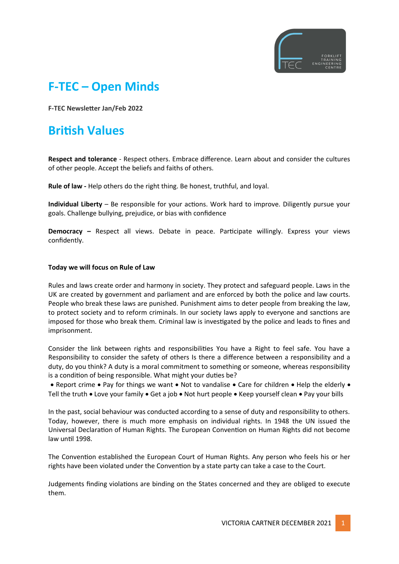

# **F-TEC – Open Minds**

**F-TEC Newsletter Jan/Feb 2022**

# **British Values**

**Respect and tolerance** - Respect others. Embrace difference. Learn about and consider the cultures of other people. Accept the beliefs and faiths of others.

**Rule of law -** Help others do the right thing. Be honest, truthful, and loyal.

**Individual Liberty** – Be responsible for your actions. Work hard to improve. Diligently pursue your goals. Challenge bullying, prejudice, or bias with confidence

**Democracy –** Respect all views. Debate in peace. Participate willingly. Express your views confidently.

### **Today we will focus on Rule of Law**

Rules and laws create order and harmony in society. They protect and safeguard people. Laws in the UK are created by government and parliament and are enforced by both the police and law courts. People who break these laws are punished. Punishment aims to deter people from breaking the law, to protect society and to reform criminals. In our society laws apply to everyone and sanctions are imposed for those who break them. Criminal law is investigated by the police and leads to fines and imprisonment.

Consider the link between rights and responsibilities You have a Right to feel safe. You have a Responsibility to consider the safety of others Is there a difference between a responsibility and a duty, do you think? A duty is a moral commitment to something or someone, whereas responsibility is a condition of being responsible. What might your duties be?

• Report crime • Pay for things we want • Not to vandalise • Care for children • Help the elderly • Tell the truth • Love your family • Get a job • Not hurt people • Keep yourself clean • Pay your bills

In the past, social behaviour was conducted according to a sense of duty and responsibility to others. Today, however, there is much more emphasis on individual rights. In 1948 the UN issued the Universal Declaration of Human Rights. The European Convention on Human Rights did not become law until 1998.

The Convention established the European Court of Human Rights. Any person who feels his or her rights have been violated under the Convention by a state party can take a case to the Court.

Judgements finding violations are binding on the States concerned and they are obliged to execute them.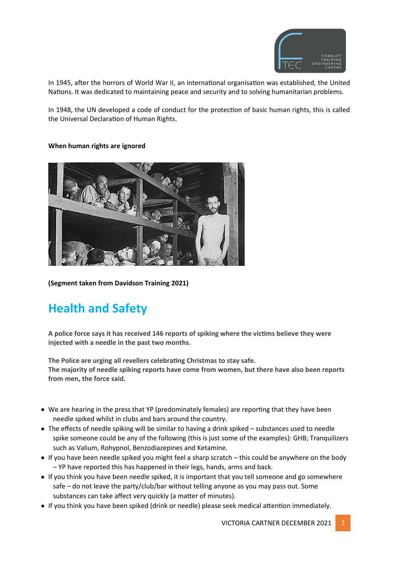

In 1945, after the horrors of World War II, an international organisation was established, the United Nations. It was dedicated to maintaining peace and security and to solving humanitarian problems.

In 1948, the UN developed a code of conduct for the protection of basic human rights, this is called the Universal Declaration of Human Rights.

#### **When human rights are ignored**



**(Segment taken from Davidson Training 2021)** 

# **Health and Safety**

**A police force says it has received 146 reports of spiking where the victims believe they were injected with a needle in the past two months.**

**The Police are urging all revellers celebrating Christmas to stay safe. The majority of needle spiking reports have come from women, but there have also been reports from men, the force said.**

- We are hearing in the press that YP (predominately females) are reporting that they have been needle spiked whilst in clubs and bars around the country.
- The effects of needle spiking will be similar to having a drink spiked substances used to needle spike someone could be any of the following (this is just some of the examples): GHB; Tranquilizers such as Valium, Rohypnol, Benzodiazepines and Ketamine.
- If you have been needle spiked you might feel a sharp scratch this could be anywhere on the body – YP have reported this has happened in their legs, hands, arms and back.
- If you think you have been needle spiked, it is important that you tell someone and go somewhere safe – do not leave the party/club/bar without telling anyone as you may pass out. Some substances can take affect very quickly (a matter of minutes).
- If you think you have been spiked (drink or needle) please seek medical attention immediately.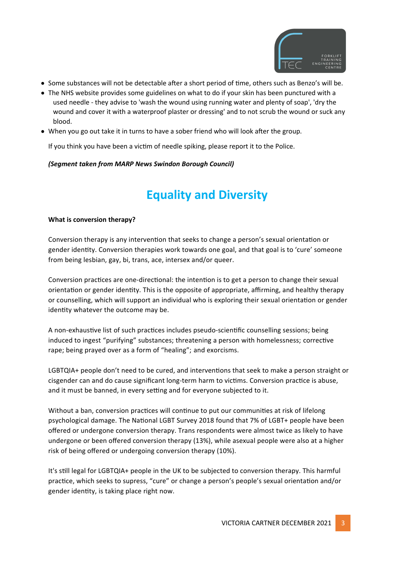

- Some substances will not be detectable after a short period of time, others such as Benzo's will be.
- The NHS website provides some guidelines on what to do if your skin has been punctured with a used needle - they advise to 'wash the wound using running water and plenty of soap', 'dry the wound and cover it with a waterproof plaster or dressing' and to not scrub the wound or suck any blood.
- When you go out take it in turns to have a sober friend who will look after the group.

If you think you have been a victim of needle spiking, please report it to the Police.

### *(Segment taken from MARP News Swindon Borough Council)*

# **Equality and Diversity**

#### **What is conversion therapy?**

Conversion therapy is any intervention that seeks to change a person's sexual orientation or gender identity. Conversion therapies work towards one goal, and that goal is to 'cure' someone from being lesbian, gay, bi, trans, ace, intersex and/or queer.

Conversion practices are one-directional: the intention is to get a person to change their sexual orientation or gender identity. This is the opposite of appropriate, affirming, and healthy therapy or counselling, which will support an individual who is exploring their sexual orientation or gender identity whatever the outcome may be.

A non-exhaustive list of such practices includes pseudo-scientific counselling sessions; being induced to ingest "purifying" substances; threatening a person with homelessness; corrective rape; being prayed over as a form of "healing"; and exorcisms.

LGBTQIA+ people don't need to be cured, and interventions that seek to make a person straight or cisgender can and do cause significant long-term harm to victims. Conversion practice is abuse, and it must be banned, in every setting and for everyone subjected to it.

Without a ban, conversion practices will continue to put our communities at risk of lifelong psychological damage. The National LGBT Survey 2018 found that 7% of LGBT+ people have been offered or undergone conversion therapy. Trans respondents were almost twice as likely to have undergone or been offered conversion therapy (13%), while asexual people were also at a higher risk of being offered or undergoing conversion therapy (10%).

It's still legal for LGBTQIA+ people in the UK to be subjected to conversion therapy. This harmful practice, which seeks to supress, "cure" or change a person's people's sexual orientation and/or gender identity, is taking place right now.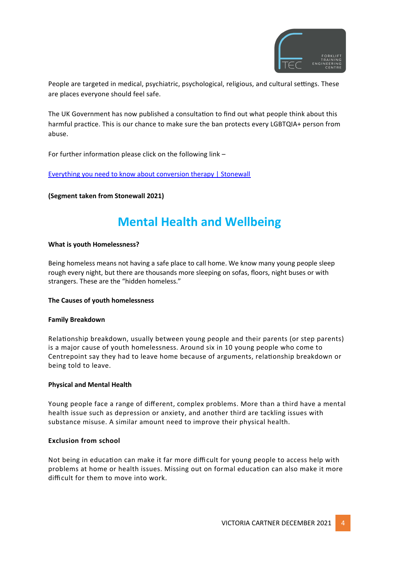

People are targeted in medical, psychiatric, psychological, religious, and cultural settings. These are places everyone should feel safe.

The UK Government has now published a consultation to find out what people think about this harmful practice. This is our chance to make sure the ban protects every LGBTQIA+ person from abuse.

For further information please click on the following link –

Everything you need to know about conversion therapy | Stonewall

**(Segment taken from Stonewall 2021)**

# **Mental Health and Wellbeing**

#### **What is youth Homelessness?**

Being homeless means not having a safe place to call home. We know many young people sleep rough every night, but there are thousands more sleeping on sofas, floors, night buses or with strangers. These are the "hidden homeless."

#### **The Causes of youth homelessness**

#### **Family Breakdown**

Relationship breakdown, usually between young people and their parents (or step parents) is a major cause of youth homelessness. Around six in 10 young people who come to Centrepoint say they had to leave home because of arguments, relationship breakdown or being told to leave.

#### **Physical and Mental Health**

Young people face a range of different, complex problems. More than a third have a mental health issue such as depression or anxiety, and another third are tackling issues with substance misuse. A similar amount need to improve their physical health.

#### **Exclusion from school**

Not being in education can make it far more difficult for young people to access help with problems at home or health issues. Missing out on formal education can also make it more difficult for them to move into work.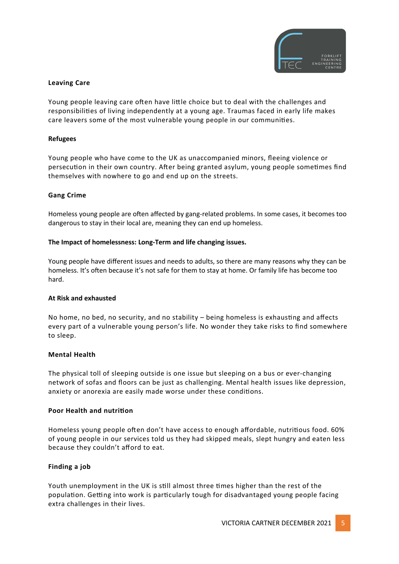

#### **Leaving Care**

Young people leaving care often have little choice but to deal with the challenges and responsibilities of living independently at a young age. Traumas faced in early life makes care leavers some of the most vulnerable young people in our communities.

#### **Refugees**

Young people who have come to the UK as unaccompanied minors, fleeing violence or persecution in their own country. After being granted asylum, young people sometimes find themselves with nowhere to go and end up on the streets.

#### **Gang Crime**

Homeless young people are often affected by gang-related problems. In some cases, it becomes too dangerous to stay in their local are, meaning they can end up homeless.

#### **The Impact of homelessness: Long-Term and life changing issues.**

Young people have different issues and needs to adults, so there are many reasons why they can be homeless. It's often because it's not safe for them to stay at home. Or family life has become too hard.

#### **At Risk and exhausted**

No home, no bed, no security, and no stability – being homeless is exhausting and affects every part of a vulnerable young person's life. No wonder they take risks to find somewhere to sleep.

#### **Mental Health**

The physical toll of sleeping outside is one issue but sleeping on a bus or ever-changing network of sofas and floors can be just as challenging. Mental health issues like depression, anxiety or anorexia are easily made worse under these conditions.

#### **Poor Health and nutrition**

Homeless young people often don't have access to enough affordable, nutritious food. 60% of young people in our services told us they had skipped meals, slept hungry and eaten less because they couldn't afford to eat.

#### **Finding a job**

Youth unemployment in the UK is still almost three times higher than the rest of the population. Getting into work is particularly tough for disadvantaged young people facing extra challenges in their lives.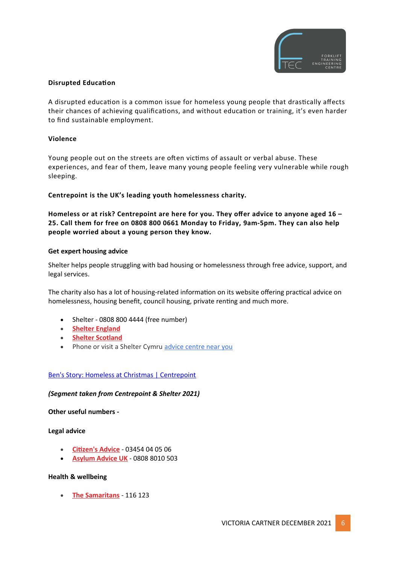

### **Disrupted Education**

A disrupted education is a common issue for homeless young people that drastically affects their chances of achieving qualifications, and without education or training, it's even harder to find sustainable employment.

### **Violence**

Young people out on the streets are often victims of assault or verbal abuse. These experiences, and fear of them, leave many young people feeling very vulnerable while rough sleeping.

### **Centrepoint is the UK's leading youth homelessness charity.**

**Homeless or at risk? Centrepoint are here for you. They offer advice to anyone aged 16 – 25. Call them for free on 0808 800 0661 Monday to Friday, 9am-5pm. They can also help people worried about a young person they know.** 

#### **Get expert housing advice**

Shelter helps people struggling with bad housing or homelessness through free advice, support, and legal services.

The charity also has a lot of housing-related information on its website offering practical advice on homelessness, housing benefit, council housing, private renting and much more.

- Shelter 0808 800 4444 (free number)
- **Shelter England**
- **Shelter Scotland**
- Phone or visit a Shelter Cymru [advice centre near you](https://sheltercymru.org.uk/get-advice/advice-near-you/)

#### Ben's Story: Homeless at Christmas | Centrepoint

#### *(Segment taken from Centrepoint & Shelter 2021)*

**Other useful numbers -**

#### **Legal advice**

- **Citizen's Advice** 03454 04 05 06
- **Asylum Advice UK** 0808 8010 503

#### **Health & wellbeing**

 **The Samaritans** - 116 123